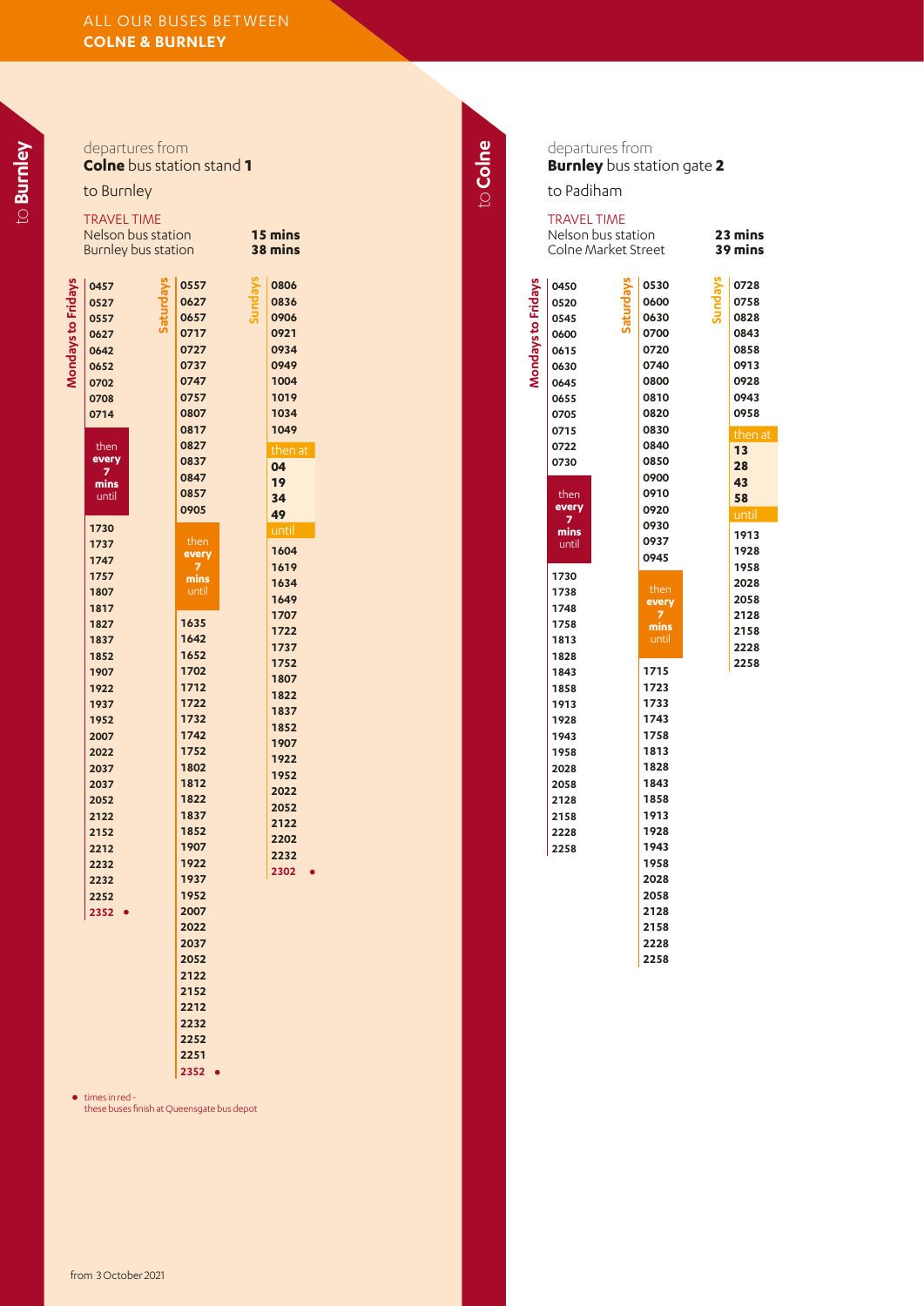|                    | departures from                  |                 |              |          | C                  |
|--------------------|----------------------------------|-----------------|--------------|----------|--------------------|
|                    | <b>Colne</b> bus station stand 1 |                 |              |          | E                  |
|                    |                                  |                 |              | to Colne |                    |
|                    | to Burnley                       |                 |              |          | t                  |
|                    | <b>TRAVEL TIME</b>               |                 |              |          | Ţ                  |
|                    | Nelson bus station               |                 | 15 mins      |          | $\frac{1}{2}$      |
|                    | Burnley bus station              |                 | 38 mins      |          |                    |
|                    |                                  |                 |              |          |                    |
| Mondays to Fridays | Saturdays<br>0457                | Sundays<br>0557 | 0806         |          | Mondays to Fridays |
|                    | 0527                             | 0627<br>0657    | 0836<br>0906 |          |                    |
|                    | 0557<br>0627                     | 0717            | 0921         |          |                    |
|                    | 0642                             | 0727            | 0934         |          |                    |
|                    | 0652                             | 0737            | 0949         |          |                    |
|                    | 0702                             | 0747            | 1004         |          |                    |
|                    | 0708                             | 0757            | 1019         |          |                    |
|                    | 0714                             | 0807            | 1034         |          |                    |
|                    |                                  | 0817            | 1049         |          |                    |
|                    | then                             | 0827            | then at      |          |                    |
|                    | every<br>7                       | 0837            | 04           |          |                    |
|                    | mins                             | 0847<br>0857    | 19           |          |                    |
|                    | until                            | 0905            | 34           |          |                    |
|                    | 1730                             |                 | 49           |          |                    |
|                    | 1737                             | then            | until        |          |                    |
|                    | 1747                             | every           | 1604         |          |                    |
|                    | 1757                             | 7<br>mins       | 1619         |          |                    |
|                    | 1807                             | until           | 1634<br>1649 |          |                    |
|                    | 1817                             |                 | 1707         |          |                    |
|                    | 1827                             | 1635            | 1722         |          |                    |
|                    | 1837                             | 1642            | 1737         |          |                    |
|                    | 1852                             | 1652<br>1702    | 1752         |          |                    |
|                    | 1907<br>1922                     | 1712            | 1807         |          |                    |
|                    | 1937                             | 1722            | 1822         |          |                    |
|                    | 1952                             | 1732            | 1837         |          |                    |
|                    | 2007                             | 1742            | 1852         |          |                    |
|                    | 2022                             | 1752            | 1907<br>1922 |          |                    |
|                    | 2037                             | 1802            | 1952         |          |                    |
|                    | 2037                             | 1812            | 2022         |          |                    |
|                    | 2052                             | 1822            | 2052         |          |                    |
|                    | 2122                             | 1837            | 2122         |          |                    |
|                    | 2152<br>2212                     | 1852<br>1907    | 2202         |          |                    |
|                    | 2232                             | 1922            | 2232         |          |                    |
|                    | 2232                             | 1937            | 2302         |          |                    |
|                    | 2252                             | 1952            |              |          |                    |
|                    | $2352 -$                         | 2007            |              |          |                    |
|                    |                                  | 2022            |              |          |                    |
|                    |                                  | 2037            |              |          |                    |
|                    |                                  | 2052            |              |          |                    |
|                    |                                  | 2122            |              |          |                    |
|                    |                                  | 2152<br>2212    |              |          |                    |
|                    |                                  | 2232            |              |          |                    |
|                    |                                  | 2252            |              |          |                    |
|                    |                                  | 2251            |              |          |                    |

departures from **Burnley** bus station gate **2**

o Padiham

| <b>TRAVEL TIME</b>                                                           | Nelson bus station<br>Colne Market Street |                                                                              | 23 mins<br>39 mins                                                              |
|------------------------------------------------------------------------------|-------------------------------------------|------------------------------------------------------------------------------|---------------------------------------------------------------------------------|
| 0450<br>0520<br>0545<br>0600<br>0615<br>0630<br>0645<br>0655<br>0705<br>0715 |                                           | 0530<br>0600<br>0630<br>0700<br>0720<br>0740<br>0800<br>0810<br>0820<br>0830 | 0728<br>0758<br>0828<br>0843<br>0858<br>0913<br>0928<br>0943<br>0958<br>then at |
| 0722<br>0730<br>then<br>every<br>mins<br>until                               |                                           | 0840<br>0850<br>0900<br>0910<br>0920<br>0930<br>0937<br>0945                 | 13<br>28<br>43<br>58<br>until<br>1913<br>1928                                   |
| 1730<br>1738<br>1748<br>1758<br>1813<br>1828<br>1843                         |                                           | then<br>every<br>mins<br>until<br>1715                                       | 1958<br>2028<br>2058<br>2128<br>2158<br>2228<br>2258                            |
| 1858<br>1913<br>1928<br>1943<br>1958<br>2028<br>2058                         |                                           | 1723<br>1733<br>1743<br>1758<br>1813<br>1828<br>1843                         |                                                                                 |
| 2128<br>2158<br>2228<br>2258                                                 |                                           | 1858<br>1913<br>1928<br>1943<br>1958<br>2028<br>2058                         |                                                                                 |
|                                                                              |                                           | 2128<br>2158<br>2228<br>2258                                                 |                                                                                 |

to **Burnley**

from 3 October 2021

times in red - these buses finish at Queensgate bus depot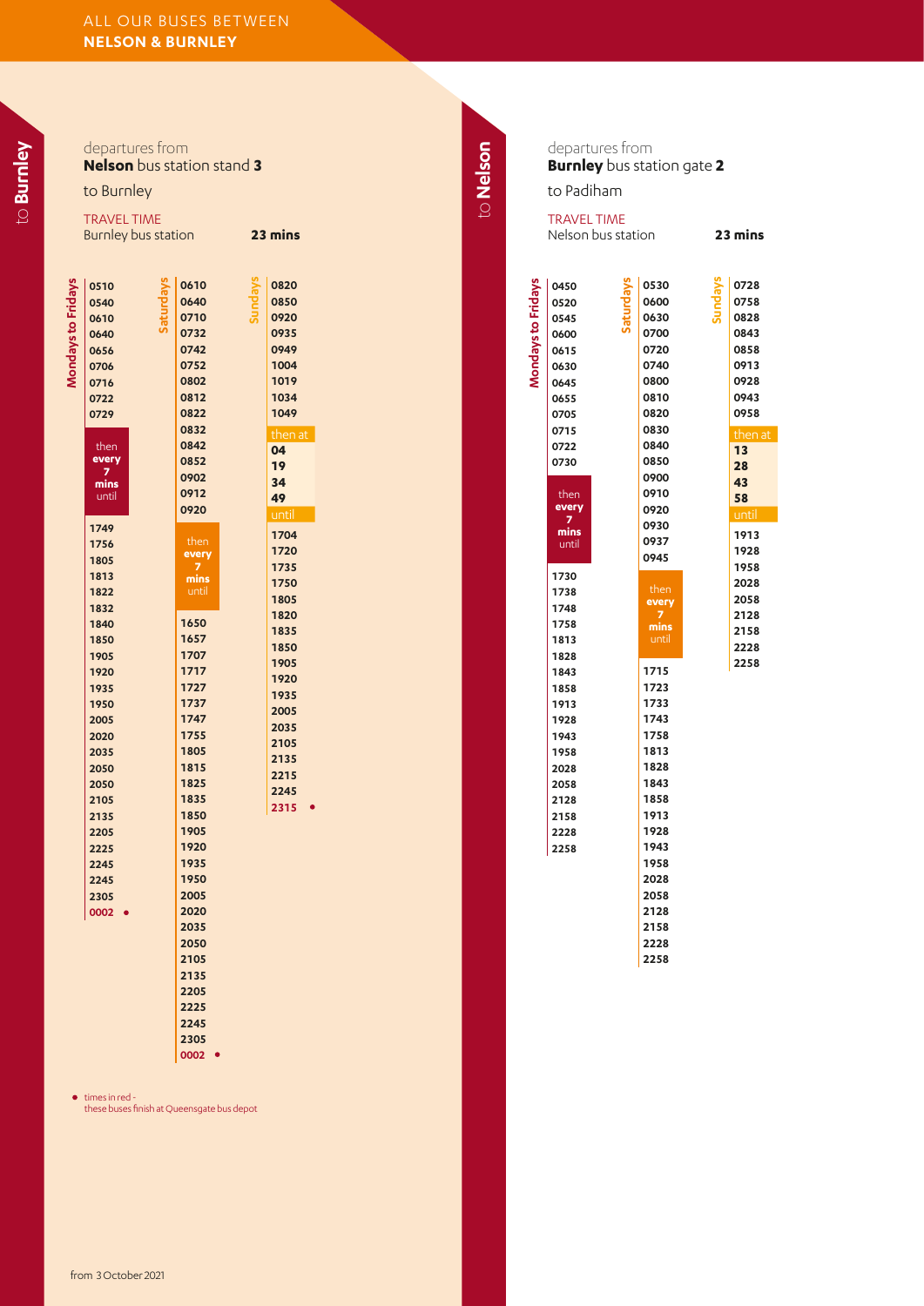|                           | departures from<br>to Burnley                                                                                                                                                                                                                                                                                                                      | <b>Nelson</b> bus station stand 3                                                                                                                                                                                                                                                                                                                                                                          |                                                                                                                                                                                                                                                                              | to Nelson |                    | departures from<br><b>Burnley</b> bus station gate 2<br>to Padiham                                                                                                                                                                                                                  |           |                                                                                                                                                                                                                                                                                                                                             |                         |
|---------------------------|----------------------------------------------------------------------------------------------------------------------------------------------------------------------------------------------------------------------------------------------------------------------------------------------------------------------------------------------------|------------------------------------------------------------------------------------------------------------------------------------------------------------------------------------------------------------------------------------------------------------------------------------------------------------------------------------------------------------------------------------------------------------|------------------------------------------------------------------------------------------------------------------------------------------------------------------------------------------------------------------------------------------------------------------------------|-----------|--------------------|-------------------------------------------------------------------------------------------------------------------------------------------------------------------------------------------------------------------------------------------------------------------------------------|-----------|---------------------------------------------------------------------------------------------------------------------------------------------------------------------------------------------------------------------------------------------------------------------------------------------------------------------------------------------|-------------------------|
|                           | <b>TRAVEL TIME</b><br>Burnley bus station                                                                                                                                                                                                                                                                                                          |                                                                                                                                                                                                                                                                                                                                                                                                            | 23 mins                                                                                                                                                                                                                                                                      |           |                    | <b>TRAVEL TIME</b><br>Nelson bus station                                                                                                                                                                                                                                            |           |                                                                                                                                                                                                                                                                                                                                             | $\overline{\mathbf{2}}$ |
| <b>Mondays to Fridays</b> | Saturdays<br>0510<br>0540<br>0610<br>0640<br>0656<br>0706<br>0716<br>0722<br>0729<br>then<br>every<br>$\overline{z}$<br>mins<br>until<br>1749<br>1756<br>1805<br>1813<br>1822<br>1832<br>1840<br>1850<br>1905<br>1920<br>1935<br>1950<br>2005<br>2020<br>2035<br>2050<br>2050<br>2105<br>2135<br>2205<br>2225<br>2245<br>2245<br>2305<br>$0002 - $ | <b>Sundays</b><br>0610<br>0640<br>0710<br>0732<br>0742<br>0752<br>0802<br>0812<br>0822<br>0832<br>0842<br>0852<br>0902<br>0912<br>0920<br>then<br>every<br>$\overline{z}$<br>mins<br>until<br>1650<br>1657<br>1707<br>1717<br>1727<br>1737<br>1747<br>1755<br>1805<br>1815<br>1825<br>1835<br>1850<br>1905<br>1920<br>1935<br>1950<br>2005<br>2020<br>2035<br>2050<br>2105<br>2135<br>2205<br>2225<br>2245 | 0820<br>0850<br>0920<br>0935<br>0949<br>1004<br>1019<br>1034<br>1049<br>then at<br>04<br>19<br>34<br>49<br>until<br>1704<br>1720<br>1735<br>1750<br>1805<br>1820<br>1835<br>1850<br>1905<br>1920<br>1935<br>2005<br>2035<br>2105<br>2135<br>2215<br>2245<br>$2315$ $\bullet$ |           | Mondays to Fridays | 0450<br>0520<br>0545<br>0600<br>0615<br>0630<br>0645<br>0655<br>0705<br>0715<br>0722<br>0730<br>then<br>every<br>7<br>mins<br>until<br>1730<br>1738<br>1748<br>1758<br>1813<br>1828<br>1843<br>1858<br>1913<br>1928<br>1943<br>1958<br>2028<br>2058<br>2128<br>2158<br>2228<br>2258 | Saturdays | 0530<br>0600<br>0630<br>0700<br>0720<br>0740<br>0800<br>0810<br>0820<br>0830<br>0840<br>0850<br>0900<br>0910<br>0920<br>0930<br>0937<br>0945<br>then<br>every<br>7<br>mins<br>until<br>1715<br>1723<br>1733<br>1743<br>1758<br>1813<br>1828<br>1843<br>1858<br>1913<br>1928<br>1943<br>1958<br>2028<br>2058<br>2128<br>2158<br>2228<br>2258 | <b>Sundays</b>          |
|                           |                                                                                                                                                                                                                                                                                                                                                    | 2305<br>$0002$ $\bullet$                                                                                                                                                                                                                                                                                                                                                                                   |                                                                                                                                                                                                                                                                              |           |                    |                                                                                                                                                                                                                                                                                     |           |                                                                                                                                                                                                                                                                                                                                             |                         |

23 mins

times in red - these buses finish at Queensgate bus depot

to **Burnley**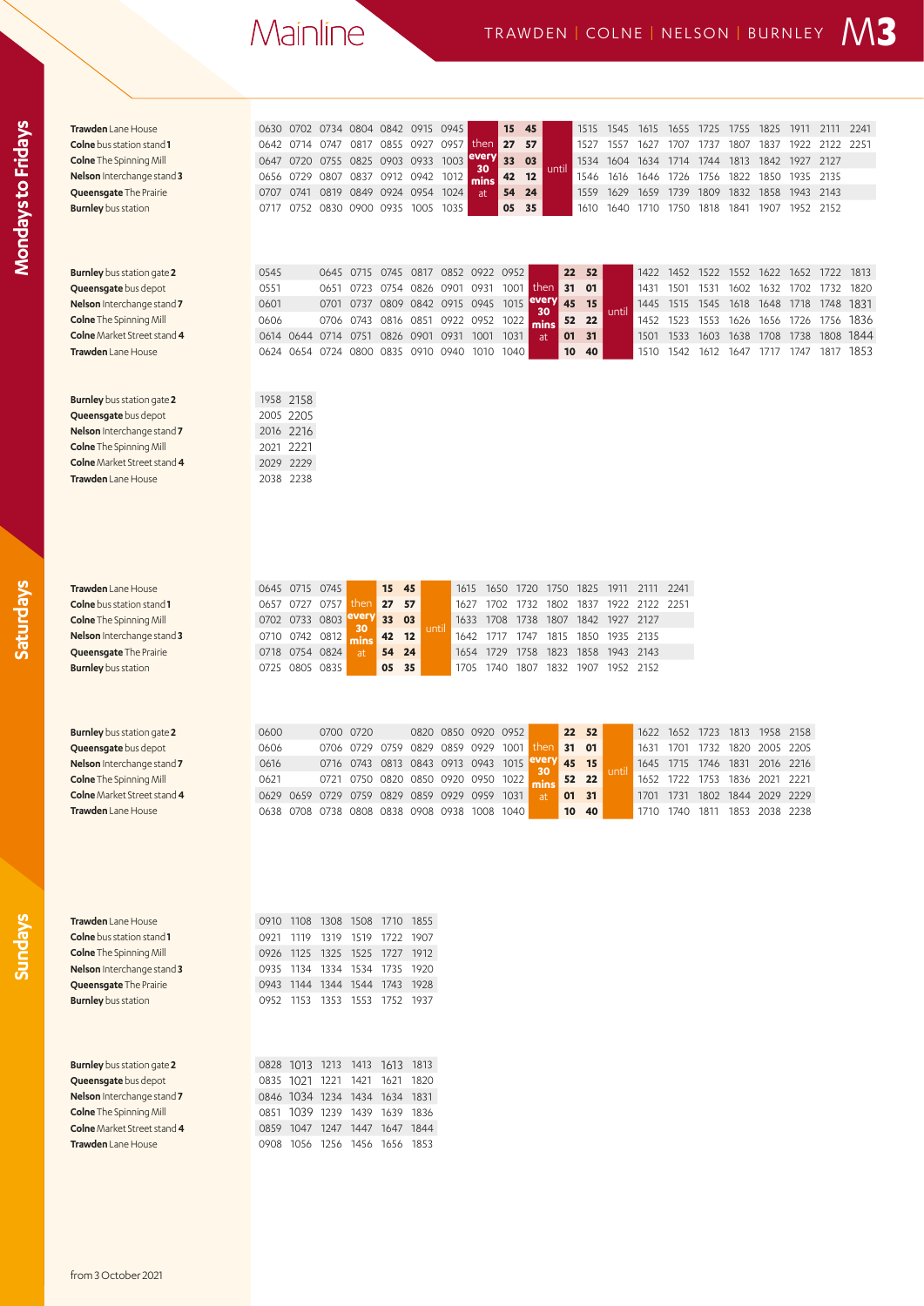| Trawden Lane House                 | 0630 |                | 0702 0734 0804 0842 0915 0945 |                |                |                          |                                              |            | 15   | 45          |       | 1515  | 1545      | 1615      | 1655      | 1725 | 1755      | 1825                          | 1911           | 2111      | 2241 |
|------------------------------------|------|----------------|-------------------------------|----------------|----------------|--------------------------|----------------------------------------------|------------|------|-------------|-------|-------|-----------|-----------|-----------|------|-----------|-------------------------------|----------------|-----------|------|
| <b>Colne</b> bus station stand 1   | 0642 |                | 0714 0747                     |                |                | 0817 0855 0927 0957      |                                              | then       | 27   | 57          |       | 1527  | 1557      | 1627      | 1707      | 1737 | 1807      | 1837                          | 1922           | 2122 2251 |      |
| <b>Colne</b> The Spinning Mill     | 0647 | 0720           | 0755                          |                | 0825 0903 0933 |                          | 1003                                         | every      | 33   | 03          |       | 1534  | 1604      | 1634      | 1714      | 1744 | 1813      | 1842                          | 1927 2127      |           |      |
| <b>Nelson</b> Interchange stand 3  | 0656 | 0729           | 0807                          |                | 0837 0912 0942 |                          | 1012                                         | 30         | 42   | 12          | until | 1546  | 1616      | 1646      | 1726      | 1756 | 1822      | 1850                          | 1935           | 2135      |      |
| Queensgate The Prairie             | 0707 | 0741           | 0819                          | 0849 0924 0954 |                |                          | 1024                                         | mins<br>at | 54   | 24          |       | 1559  | 1629      | 1659      | 1739      | 1809 | 1832      | 1858                          | 1943 2143      |           |      |
| <b>Burnley</b> bus station         | 0717 |                | 0752 0830                     | 0900 0935 1005 |                |                          | 1035                                         |            | 05   | 35          |       | 1610  | 1640      | 1710      | 1750      | 1818 | 1841      | 1907                          | 1952 2152      |           |      |
|                                    |      |                |                               |                |                |                          |                                              |            |      |             |       |       |           |           |           |      |           |                               |                |           |      |
|                                    |      |                |                               |                |                |                          |                                              |            |      |             |       |       |           |           |           |      |           |                               |                |           |      |
|                                    |      |                |                               |                |                |                          |                                              |            |      |             |       |       |           |           |           |      |           |                               |                |           |      |
|                                    |      |                |                               |                |                |                          |                                              |            |      |             |       |       |           |           |           |      |           |                               |                |           |      |
| <b>Burnley</b> bus station gate 2  | 0545 |                | 0645                          | 0715           | 0745           |                          | 0817 0852 0922 0952                          |            |      |             | 22    | 52    |           | 1422      | 1452 1522 |      |           | 1552 1622                     | 1652 1722      |           | 1813 |
| <b>Queensgate</b> bus depot        | 0551 |                | 0651                          | 0723           |                | 0754 0826                | 0901                                         | 0931       | 1001 | then        | 31    | 01    |           | 1431      | 1501      | 1531 | 1602      | 1632                          | 1702           | 1732      | 1820 |
| Nelson Interchange stand 7         | 0601 |                | 0701                          | 0737           |                |                          | 0809 0842 0915 0945 1015                     |            |      | every<br>30 | 45    | 15    | until     | 1445      | 1515      | 1545 | 1618      | 1648                          | 1718           | 1748      | 1831 |
| <b>Colne</b> The Spinning Mill     | 0606 |                | 0706                          | 0743           |                |                          | 0816 0851 0922 0952                          |            | 1022 | mins        | 52    | 22    |           | 1452      | 1523      | 1553 | 1626      |                               | 1656 1726 1756 |           | 1836 |
| Colne Market Street stand 4        |      | 0614 0644 0714 |                               | 0751           | 0826 0901      |                          | 0931                                         | 1001       | 1031 | at          | 01    | 31    |           | 1501      | 1533      | 1603 | 1638      | 1708                          | 1738           | 1808      | 1844 |
| Trawden Lane House                 | 0624 |                | 0654 0724                     |                |                | 0800 0835 0910 0940      |                                              | 1010       | 1040 |             | 10    | 40    |           | 1510      | 1542      | 1612 | 1647      | 1717                          | 1747           | 1817      | 1853 |
|                                    |      |                |                               |                |                |                          |                                              |            |      |             |       |       |           |           |           |      |           |                               |                |           |      |
|                                    |      |                |                               |                |                |                          |                                              |            |      |             |       |       |           |           |           |      |           |                               |                |           |      |
|                                    | 1958 |                |                               |                |                |                          |                                              |            |      |             |       |       |           |           |           |      |           |                               |                |           |      |
| <b>Burnley</b> bus station gate 2  |      | 2158           |                               |                |                |                          |                                              |            |      |             |       |       |           |           |           |      |           |                               |                |           |      |
| <b>Queensgate</b> bus depot        |      | 2005 2205      |                               |                |                |                          |                                              |            |      |             |       |       |           |           |           |      |           |                               |                |           |      |
| Nelson Interchange stand 7         |      | 2016 2216      |                               |                |                |                          |                                              |            |      |             |       |       |           |           |           |      |           |                               |                |           |      |
| <b>Colne</b> The Spinning Mill     | 2021 | 2221           |                               |                |                |                          |                                              |            |      |             |       |       |           |           |           |      |           |                               |                |           |      |
| <b>Colne</b> Market Street stand 4 | 2029 | 2229           |                               |                |                |                          |                                              |            |      |             |       |       |           |           |           |      |           |                               |                |           |      |
| Trawden Lane House                 |      | 2038 2238      |                               |                |                |                          |                                              |            |      |             |       |       |           |           |           |      |           |                               |                |           |      |
|                                    |      |                |                               |                |                |                          |                                              |            |      |             |       |       |           |           |           |      |           |                               |                |           |      |
|                                    |      |                |                               |                |                |                          |                                              |            |      |             |       |       |           |           |           |      |           |                               |                |           |      |
|                                    |      |                |                               |                |                |                          |                                              |            |      |             |       |       |           |           |           |      |           |                               |                |           |      |
|                                    |      |                |                               |                |                |                          |                                              |            |      |             |       |       |           |           |           |      |           |                               |                |           |      |
|                                    |      |                |                               |                |                |                          |                                              |            |      |             |       |       |           |           |           |      |           |                               |                |           |      |
|                                    |      |                |                               |                |                |                          |                                              |            |      |             |       |       |           |           |           |      |           |                               |                |           |      |
|                                    |      |                |                               |                |                |                          |                                              |            |      |             |       |       |           |           |           |      |           |                               |                |           |      |
| <b>Trawden</b> Lane House          |      | 0645 0715 0745 |                               |                | 15             | 45                       | 1615                                         | 1650       |      | 1720        | 1750  | 1825  | 1911      | 2111      | 2241      |      |           |                               |                |           |      |
| Colne bus station stand 1          |      | 0657 0727 0757 |                               | then           | 27             | 57                       | 1627                                         | 1702       |      | 1732        | 1802  | 1837  | 1922      | 2122 2251 |           |      |           |                               |                |           |      |
| <b>Colne</b> The Spinning Mill     |      | 0702 0733 0803 |                               | :very<br>30    | 33             | 03<br>until              | 1633                                         | 1708       |      | 1738        | 1807  | 1842  | 1927 2127 |           |           |      |           |                               |                |           |      |
| Nelson Interchange stand 3         | 0710 | 0742           | 0812                          | mins           | 42             | $12$                     | 1642                                         | 1717       |      | 1747        | 1815  | 1850  | 1935      | 2135      |           |      |           |                               |                |           |      |
| Queensgate The Prairie             | 0718 | 0754           | 0824                          | at             | 54             | 24                       | 1654                                         | 1729       |      | 1758        | 1823  | 1858  | 1943      | 2143      |           |      |           |                               |                |           |      |
| <b>Burnley</b> bus station         | 0725 |                | 0805 0835                     |                | 05             | 35                       | 1705                                         | 1740       |      | 1807        | 1832  | 1907  | 1952 2152 |           |           |      |           |                               |                |           |      |
|                                    |      |                |                               |                |                |                          |                                              |            |      |             |       |       |           |           |           |      |           |                               |                |           |      |
|                                    |      |                |                               |                |                |                          |                                              |            |      |             |       |       |           |           |           |      |           |                               |                |           |      |
|                                    |      |                |                               |                |                |                          |                                              |            |      |             |       |       |           |           |           |      |           |                               |                |           |      |
|                                    |      |                |                               |                |                |                          |                                              |            |      |             |       |       |           |           |           |      |           |                               |                |           |      |
| <b>Burnley</b> bus station gate 2  | 0600 |                |                               | 0700 0720      |                | 0820                     | 0850 0920 0952                               |            |      |             | 22    | 52    |           | 1622      | 1652 1723 |      |           | 1813 1958 2158                |                |           |      |
| <b>Queensgate</b> bus depot        | 0606 |                | 0706                          | 0729           | 0759           | 0829                     | 0859 0929                                    |            | 1001 | then        | 31    | 01    |           | 1631      | 1701      | 1732 |           | 1820 2005 2205                |                |           |      |
|                                    |      |                | 0716                          | 0743           | 0813           | 0843                     | 0913 0943                                    |            | 1015 | every<br>30 | 45    | 15    |           | 1645      | 1715      |      |           | 2016                          | 2216           |           |      |
| Nelson Interchange stand 7         | 0616 |                |                               |                |                |                          |                                              |            | 1022 |             |       |       |           |           |           | 1746 | 1831      |                               |                |           |      |
| <b>Colne</b> The Spinning Mill     | 0621 |                | 0721                          |                |                | 0750 0820 0850 0920 0950 |                                              |            |      | mins        | 52    | 22    | unti      | 1652      | 1722 1753 |      | 1836 2021 |                               | 2221           |           |      |
| <b>Colne</b> Market Street stand 4 |      |                |                               |                |                |                          | 0629 0659 0729 0759 0829 0859 0929 0959 1031 |            |      | at          |       | 01 31 |           |           |           |      |           | 1701 1731 1802 1844 2029 2229 |                |           |      |
| Trawden Lane House                 |      |                |                               |                |                |                          |                                              |            |      |             | 10    | 40    |           | 1710      |           |      |           |                               |                |           |      |
|                                    |      |                |                               |                |                |                          | 0638 0708 0738 0808 0838 0908 0938 1008 1040 |            |      |             |       |       |           |           | 1740 1811 |      |           | 1853 2038 2238                |                |           |      |
|                                    |      |                |                               |                |                |                          |                                              |            |      |             |       |       |           |           |           |      |           |                               |                |           |      |
|                                    |      |                |                               |                |                |                          |                                              |            |      |             |       |       |           |           |           |      |           |                               |                |           |      |
|                                    |      |                |                               |                |                |                          |                                              |            |      |             |       |       |           |           |           |      |           |                               |                |           |      |
|                                    |      |                |                               |                |                |                          |                                              |            |      |             |       |       |           |           |           |      |           |                               |                |           |      |
|                                    |      |                |                               |                |                |                          |                                              |            |      |             |       |       |           |           |           |      |           |                               |                |           |      |
|                                    |      |                |                               |                |                |                          |                                              |            |      |             |       |       |           |           |           |      |           |                               |                |           |      |
| Trawden Lane House                 | 0910 | 1108           | 1308 1508 1710 1855           |                |                |                          |                                              |            |      |             |       |       |           |           |           |      |           |                               |                |           |      |
| <b>Colne</b> bus station stand 1   | 0921 | 1119           | 1319                          | 1519 1722      |                | 1907                     |                                              |            |      |             |       |       |           |           |           |      |           |                               |                |           |      |
| <b>Colne</b> The Spinning Mill     | 0926 |                | 1125 1325 1525 1727 1912      |                |                |                          |                                              |            |      |             |       |       |           |           |           |      |           |                               |                |           |      |
|                                    | 0935 | 1134           |                               |                |                | 1920                     |                                              |            |      |             |       |       |           |           |           |      |           |                               |                |           |      |
| Nelson Interchange stand 3         |      |                |                               | 1334 1534 1735 |                | 1928                     |                                              |            |      |             |       |       |           |           |           |      |           |                               |                |           |      |
| Queensgate The Prairie             | 0943 |                | 1144 1344 1544 1743           |                |                |                          |                                              |            |      |             |       |       |           |           |           |      |           |                               |                |           |      |
| <b>Burnley</b> bus station         |      |                | 0952 1153 1353 1553 1752 1937 |                |                |                          |                                              |            |      |             |       |       |           |           |           |      |           |                               |                |           |      |
|                                    |      |                |                               |                |                |                          |                                              |            |      |             |       |       |           |           |           |      |           |                               |                |           |      |
|                                    |      |                |                               |                |                |                          |                                              |            |      |             |       |       |           |           |           |      |           |                               |                |           |      |
|                                    |      |                |                               |                |                |                          |                                              |            |      |             |       |       |           |           |           |      |           |                               |                |           |      |
| <b>Burnley</b> bus station gate 2  | 0828 |                | 1013 1213 1413 1613 1813      |                |                |                          |                                              |            |      |             |       |       |           |           |           |      |           |                               |                |           |      |
| Queensgate bus depot               | 0835 | 1021           | 1221                          | 1421 1621      |                | 1820                     |                                              |            |      |             |       |       |           |           |           |      |           |                               |                |           |      |
| Nelson Interchange stand 7         |      |                | 0846 1034 1234 1434 1634 1831 |                |                |                          |                                              |            |      |             |       |       |           |           |           |      |           |                               |                |           |      |
| <b>Colne</b> The Spinning Mill     |      |                | 0851 1039 1239 1439 1639 1836 |                |                |                          |                                              |            |      |             |       |       |           |           |           |      |           |                               |                |           |      |
|                                    |      |                |                               |                |                |                          |                                              |            |      |             |       |       |           |           |           |      |           |                               |                |           |      |
| Colne Market Street stand 4        | 0859 | 1047           | 1247                          | 1447 1647      |                | 1844                     |                                              |            |      |             |       |       |           |           |           |      |           |                               |                |           |      |
| Trawden Lane House                 |      |                | 0908 1056 1256 1456 1656 1853 |                |                |                          |                                              |            |      |             |       |       |           |           |           |      |           |                               |                |           |      |
|                                    |      |                |                               |                |                |                          |                                              |            |      |             |       |       |           |           |           |      |           |                               |                |           |      |
|                                    |      |                |                               |                |                |                          |                                              |            |      |             |       |       |           |           |           |      |           |                               |                |           |      |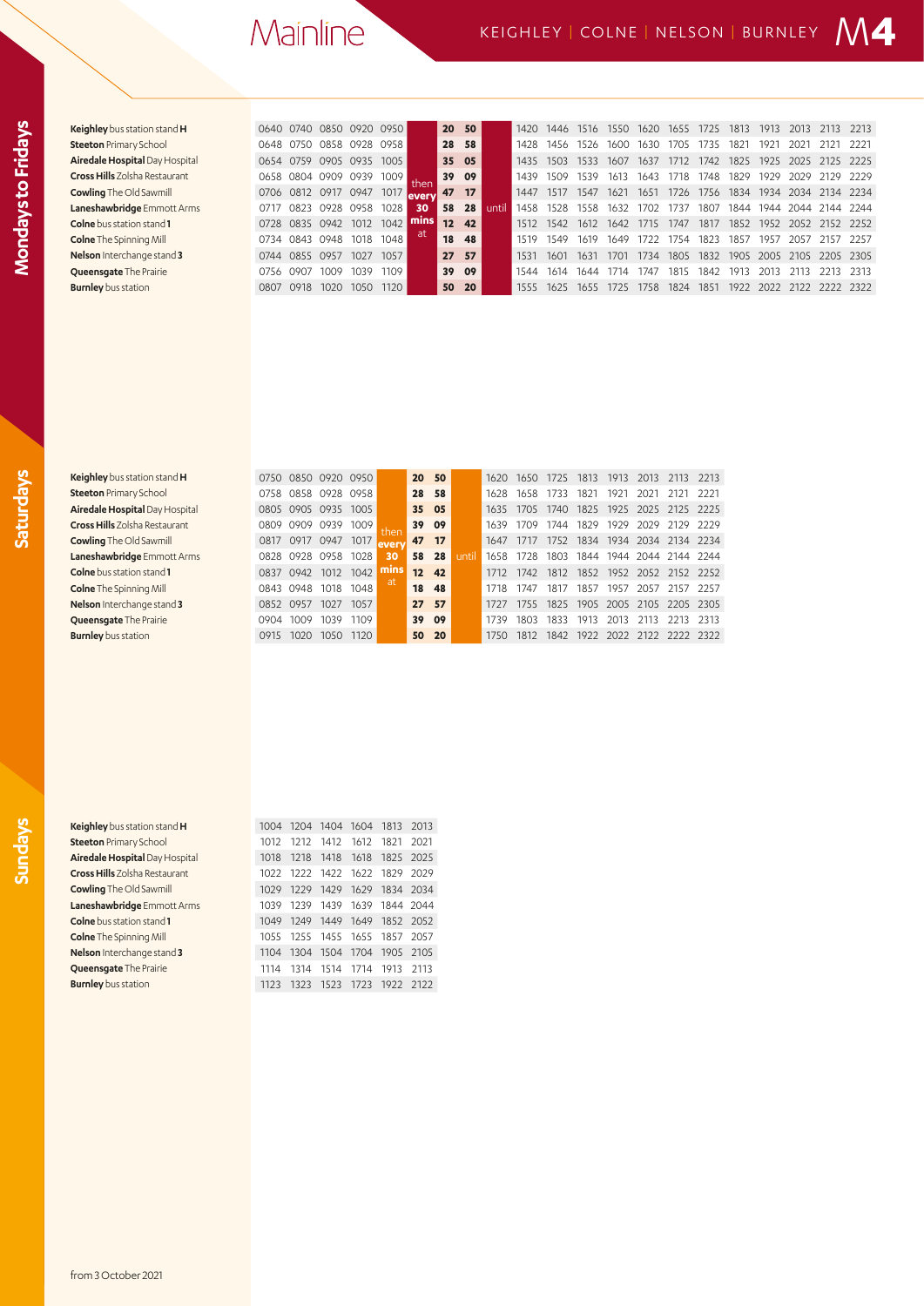| ۰      |
|--------|
|        |
|        |
| г<br>٦ |
|        |
| ۰      |
|        |
|        |
| г      |
|        |
|        |
|        |
|        |
|        |
| ٦      |
|        |
| г      |
| r      |
|        |

| <b>Keighley</b> bus station stand <b>H</b> |
|--------------------------------------------|
| <b>Steeton</b> Primary School              |
| <b>Airedale Hospital Day Hospit</b>        |
| <b>Cross Hills</b> Zolsha Restaurant       |
| <b>Cowling</b> The Old Sawmill             |
| Laneshawbridge Emmott Arr                  |
| <b>Colne</b> bus station stand 1           |
| <b>Colne</b> The Spinning Mill             |
| Nelson Interchange stand 3                 |
| Queensqate The Prairie                     |
| <b>Burnley</b> bus station                 |
|                                            |

| Keighley bus station stand H         | 0640 0740      |           | 0850 0920 |      | 0950 |         |    | 20 50 |       | 1420 | 1446 | 1516 | 1550. | 1620  | 1655  | 1725 | 1813 | 1913 | 2013      |           | 2213   |
|--------------------------------------|----------------|-----------|-----------|------|------|---------|----|-------|-------|------|------|------|-------|-------|-------|------|------|------|-----------|-----------|--------|
| <b>Steeton</b> Primary School        | 0648           | 0750      | 0858      | 0928 | 0958 |         |    | 28 58 |       | 1428 | 1456 | 1526 | 1600  | 1630  | 1705  | 1735 | 182  | 1921 | 202.      | -2121     | -2221  |
| Airedale Hospital Day Hospital       | 0654           | 0759      | 0905 0935 |      | 1005 |         |    | 35 05 |       | 1435 | 1503 | 1533 | 1607  | 1637  | 1712. | 1742 | 1825 | 1925 | 2025      | 2125      | 2225   |
| <b>Cross Hills</b> Zolsha Restaurant | 0658           | 0804      | 0909      | 0939 | 1009 | then    |    | 39 09 |       | 1439 | 1509 | 1539 | 1613  | 1643  | 1718. | 1748 | 1829 | 1929 | 2029      | 2129      | - 2229 |
| <b>Cowling</b> The Old Sawmill       | 0706 0812 0917 |           |           | 0947 | 1017 | levervl | 47 | 17    |       | 1447 | 1517 | 1547 | 1621  | 1651  | 1726  | 1756 | 1834 |      | 1934 2034 | 2134 2234 |        |
| Laneshawbridge Emmott Arms           | 0717           | 0823      | 0928      | 0958 | 1028 | 30      | 58 | 28    | until | 1458 | 1528 | 1558 | 1632  | 1702  | 1737  | 1807 | 1844 | 1944 | 2044      | 2144 2244 |        |
| <b>Colne</b> bus station stand 1     |                | 0728 0835 | 0942      | 1012 | 1042 | mins    | 12 | 42    |       | 1512 | 1542 | 1612 | 1642  | 1715  | 1747  | 1817 | 1852 | 1952 | 2052      | 2152 2252 |        |
| <b>Colne</b> The Spinning Mill       |                | 0734 0843 | 0948      | 1018 | 1048 | at      | 18 | 48    |       | 1519 | 1549 | 1619 | 1649  | 1722  | 1754  | 1823 | 1857 | 1957 | 2057      | 2157      | -2257  |
| Nelson Interchange stand 3           | 0744 0855      |           | 0957      | 1027 | 1057 |         |    | 27 57 |       | 1531 | 1601 | 1631 | 1701  | 1734  | 1805  | 1832 | 1905 | 2005 | 2105      | 2205 2305 |        |
| Queensgate The Prairie               | 0756           | 0907      | 1009      | 1039 | 1109 |         |    | 39 09 |       |      | 1614 | 1644 | 1714  | 747   | 1815  | 1842 | 1913 | 2013 |           | 2213      | - 2313 |
| <b>Burnley</b> bus station           | 0807           | O918      | 1020      | 1050 | 1120 |         |    | 50 20 |       | 1555 | 1625 | 1655 | 1725  | 1758. | 1824  | 1851 | 1922 | 2022 | 2122      | 2222 2322 |        |

| Keighley bus station stand H         |
|--------------------------------------|
| <b>Steeton Primary School</b>        |
| Airedale Hospital Day Hospita        |
| <b>Cross Hills</b> Zolsha Restaurant |
| <b>Cowling</b> The Old Sawmill       |
| Laneshawbridge Emmott Arn            |
| <b>Colne</b> bus station stand 1     |
| <b>Colne</b> The Spinning Mill       |
| Nelson Interchange stand 3           |
| Queensgate The Prairie               |
| $\blacksquare$                       |

| Keighley bus station stand H         | 0750      | 0850      | 0920 0950      |      |      |                 | 20 50 |      | 1620 | 1650 |      | 1813      | 1913 | 2013 |                          | 2213   |
|--------------------------------------|-----------|-----------|----------------|------|------|-----------------|-------|------|------|------|------|-----------|------|------|--------------------------|--------|
| <b>Steeton Primary School</b>        | 0758      |           | 0858 0928 0958 |      |      |                 | 28 58 |      | 1628 | 1658 | 1733 | 1821      | 1921 | 2021 | - 2121                   | -2221  |
| Airedale Hospital Day Hospital       |           | 0805 0905 | 0935           | 1005 |      | 35 05           |       |      | 1635 | 1705 | 1740 | 1825 1925 |      |      | 2025 2125 2225           |        |
| <b>Cross Hills</b> Zolsha Restaurant | 0809      | 0909      | 0939           | 1009 |      |                 | 39 09 |      | 1639 | 1709 | 1744 | 1829      | 1929 | 2029 | 2129                     | - 2229 |
| <b>Cowling</b> The Old Sawmill       | 0817 0917 |           | 0947           | 1017 | ever | 47              | 17    |      | 1647 | 1717 | 1752 | 1834 1934 |      |      | 2034 2134 2234           |        |
| Laneshawbridge Emmott Arms           |           | 0828 0928 | 0958           | 1028 | 30   | 58              | 28    | unti |      | 1728 | 1803 | 1844 1944 |      |      | 2044 2144 2244           |        |
| <b>Colne</b> bus station stand 1     | 0837      | 0942      | 1012           | 1042 | mıns | 12 <sup>2</sup> | 42    |      | 1712 | 1742 | 1812 | 1852      | 1952 |      | 2052 2152 2252           |        |
| <b>Colne</b> The Spinning Mill       | 0843 0948 |           | 1018           | 1048 | at   | 18              | 48    |      | 1718 | 1747 | 1817 | 1857      | 1957 | 2057 | 2157                     | 2257   |
| Nelson Interchange stand 3           | 0852 0957 |           | 1027           | 1057 |      | 27              | 57    |      | 1727 | 1755 | 1825 |           |      |      | 1905 2005 2105 2205 2305 |        |
| <b>Queensgate The Prairie</b>        | 0904      | 1009      | 1039           | 1109 |      | 39              | - 09  |      | 1739 | 1803 | 1833 | 1913      | 2013 | 2113 | 2213                     | 2313   |
| <b>Burnley</b> bus station           |           | 1020      | 1050           | 1120 |      | 50              | 20    |      | 1750 | 1812 | 1842 | 1922      | 2022 | 2122 |                          | 2322   |

e e c

| e e                                                                                                                 | г<br>٠ |  |
|---------------------------------------------------------------------------------------------------------------------|--------|--|
| and the state of the state of the state of the state of the state of the state of the state of the state of th<br>- |        |  |
|                                                                                                                     |        |  |
|                                                                                                                     |        |  |

| <b>leighley</b> bus station stand <b>H</b> |
|--------------------------------------------|
| teeton Primary School                      |
| iredale Hospital Day Hospital              |
| <b>ross Hills</b> Zolsha Restaurant        |
| <b>:owling</b> The Old Sawmill             |
| aneshawbridge Emmott Arms                  |
| <b>:olne</b> bus station stand 1           |
| <b>olne</b> The Spinning Mill              |
| <b>lelson</b> Interchange stand 3          |
| Queensqate The Prairie                     |
| <b>urnlev</b> bus station                  |

| Keighley bus station stand H          |      |      |      | 1004 1204 1404 1604 1813 |                               | -2013  |
|---------------------------------------|------|------|------|--------------------------|-------------------------------|--------|
| <b>Steeton</b> Primary School         | 1012 | 1212 |      | 1412 1612 1821           |                               | 2021   |
| <b>Airedale Hospital Day Hospital</b> | 1018 |      |      |                          | 1218 1418 1618 1825 2025      |        |
| <b>Cross Hills</b> Zolsha Restaurant  |      |      |      |                          | 1022 1222 1422 1622 1829 2029 |        |
| <b>Cowling</b> The Old Sawmill        | 1029 |      |      |                          | 1229 1429 1629 1834 2034      |        |
| Laneshawbridge Emmott Arms            | 1039 | 1239 |      |                          | 1439 1639 1844 2044           |        |
| Colne bus station stand 1             | 1049 | 1249 |      |                          | 1449 1649 1852 2052           |        |
| <b>Colne</b> The Spinning Mill        |      |      |      |                          | 1055 1255 1455 1655 1857 2057 |        |
| Nelson Interchange stand 3            | 1104 |      |      |                          | 1304 1504 1704 1905 2105      |        |
| Queensqate The Prairie                | 1114 | 1314 |      | 1514 1714 1913           |                               | 2113   |
| <b>Burnley</b> bus station            | 1123 | 1323 | 1523 | 1723 1922                |                               | - 2122 |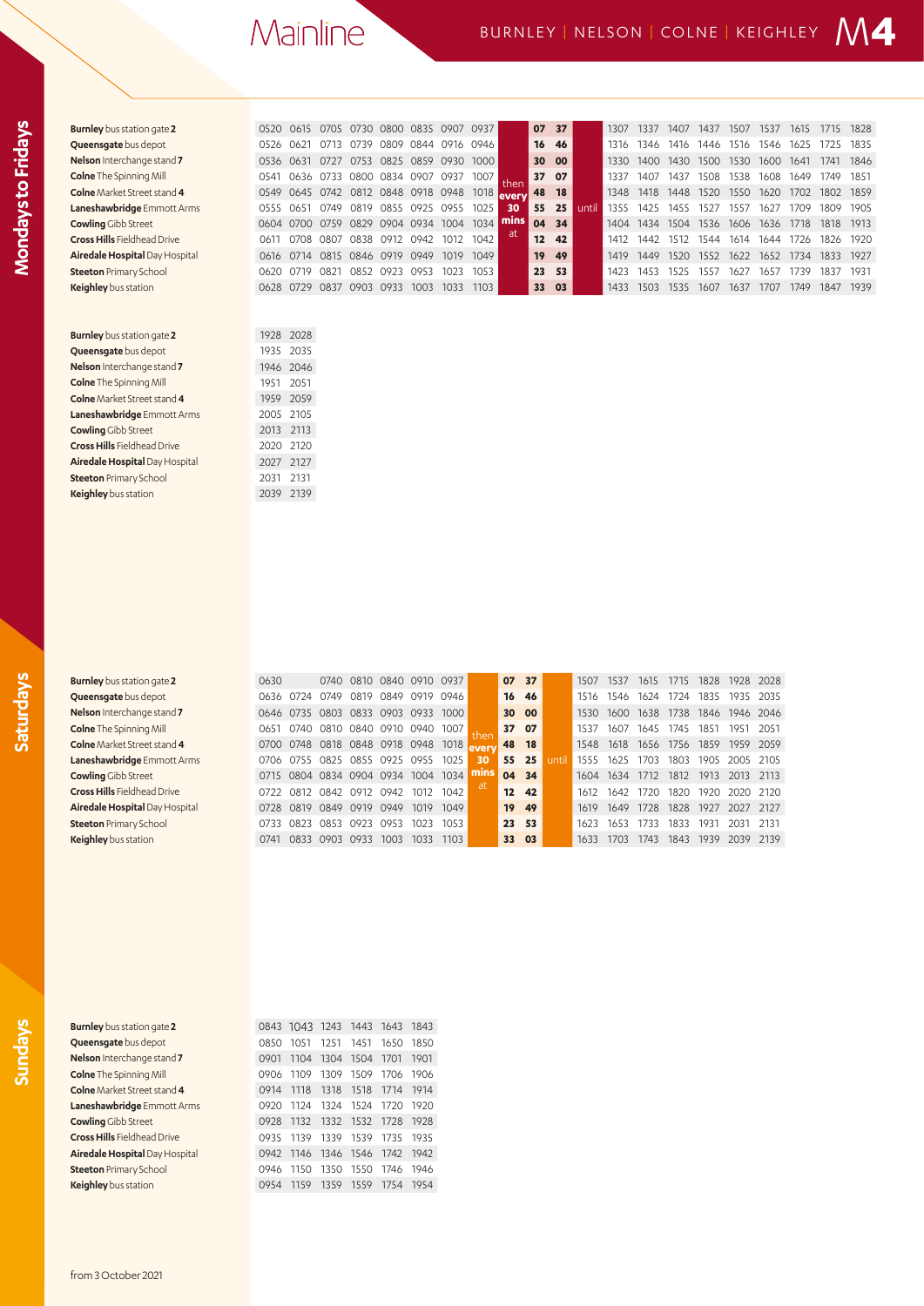| <b>Burnley</b> bus station gate 2  | 0520 | 0615      | 0705           | 0730 |                                | 0800 0835 0907 |                | 0937 |      | 07 | 37        |       | 1307 | 1337 | 1407 | 1437 | 1507 | 1537 | 1615 | 1715 | 1828 |
|------------------------------------|------|-----------|----------------|------|--------------------------------|----------------|----------------|------|------|----|-----------|-------|------|------|------|------|------|------|------|------|------|
| Queensgate bus depot               | 0526 | 0621      | 0713           | 0739 | 0809                           | 0844           | 0916 0946      |      |      | 16 | 46        |       | 1316 | 1346 | 1416 | 1446 | 1516 | 1546 | 1625 | 1725 | 1835 |
| Nelson Interchange stand 7         | 0536 | 0631      | 0727           | 0753 | 0825 0859                      |                | 0930           | 1000 |      | 30 | 00        |       | 1330 | 1400 | 1430 | 1500 | 1530 | 1600 | 1641 | 1741 | 1846 |
| <b>Colne</b> The Spinning Mill     | 0541 | 0636      | 0733           | 0800 | 0834 0907                      |                | 0937           | 1007 | then | 37 | 07        |       | 1337 | 1407 | 1437 | 1508 | 1538 | 1608 | 1649 | 1749 | 1851 |
| Colne Market Street stand 4        | 0549 | 0645      | 0742           |      | 0812 0848 0918 0948 1018 every |                |                |      |      | 48 | <b>18</b> |       | 1348 | 1418 | 1448 | 1520 | 1550 | 1620 | 1702 | 1802 | 1859 |
| Laneshawbridge Emmott Arms         | 0555 | 0651      | 0749           | 0819 | 0855 0925                      |                | 0955           | 1025 | 30   | 55 | 25        | until | 1355 | 1425 | 1455 | 1527 | 1557 | 1627 | 1709 | 1809 | 1905 |
| <b>Cowling Gibb Street</b>         | 0604 | 0700      | 0759           | 0829 |                                |                | 0904 0934 1004 | 1034 | mins |    | 04 34     |       | 1404 | 1434 | 1504 | 1536 | 1606 | 1636 | 1718 | 1818 | 1913 |
| <b>Cross Hills Fieldhead Drive</b> | 0611 | 0708      | 0807           | 0838 | 0912 0942                      |                | 1012           | 1042 | at.  | 12 | 42        |       | 1412 | 1442 | 1512 | 1544 | 1614 | 1644 | 1726 | 1826 | 1920 |
| Airedale Hospital Day Hospital     | 0616 |           |                |      | 0714 0815 0846 0919 0949       |                | 1019           | 1049 |      | 19 | 49        |       | 1419 | 1449 | 1520 | 1552 | 1622 | 1652 | 1734 | 1833 | 1927 |
| <b>Steeton Primary School</b>      | 0620 | 0719      | 0821           |      | 0852 0923 0953                 |                | 1023           | 1053 |      | 23 | 53        |       | 1423 | 1453 | 1525 | 1557 | 1627 | 1657 | 1739 | 1837 | 1931 |
| Keighley bus station               |      |           | 0628 0729 0837 |      | 0903 0933                      | 1003           | 1033           | 1103 |      | 33 | 03        |       | 1433 | 1503 | 1535 | 1607 | 1637 | 1707 | 1749 | 1847 | 1939 |
|                                    |      |           |                |      |                                |                |                |      |      |    |           |       |      |      |      |      |      |      |      |      |      |
| <b>Burnley</b> bus station gate 2  | 1928 | 2028      |                |      |                                |                |                |      |      |    |           |       |      |      |      |      |      |      |      |      |      |
| Queensqate bus depot               |      | 1935 2035 |                |      |                                |                |                |      |      |    |           |       |      |      |      |      |      |      |      |      |      |
| Nelson Interchange stand 7         |      | 1946 2046 |                |      |                                |                |                |      |      |    |           |       |      |      |      |      |      |      |      |      |      |
| <b>Colne</b> The Spinning Mill     | 1951 | 2051      |                |      |                                |                |                |      |      |    |           |       |      |      |      |      |      |      |      |      |      |
| Colne Market Street stand 4        | 1959 | 2059      |                |      |                                |                |                |      |      |    |           |       |      |      |      |      |      |      |      |      |      |
| Laneshawbridge Emmott Arms         | 2005 | 2105      |                |      |                                |                |                |      |      |    |           |       |      |      |      |      |      |      |      |      |      |
| <b>Cowling Gibb Street</b>         | 2013 | 2113      |                |      |                                |                |                |      |      |    |           |       |      |      |      |      |      |      |      |      |      |
| <b>Cross Hills Fieldhead Drive</b> | 2020 | 2120      |                |      |                                |                |                |      |      |    |           |       |      |      |      |      |      |      |      |      |      |
| Airedale Hospital Day Hospital     | 2027 | 2127      |                |      |                                |                |                |      |      |    |           |       |      |      |      |      |      |      |      |      |      |
| <b>Steeton Primary School</b>      | 2031 | 2131      |                |      |                                |                |                |      |      |    |           |       |      |      |      |      |      |      |      |      |      |
| Keighley bus station               | 2039 | 2139      |                |      |                                |                |                |      |      |    |           |       |      |      |      |      |      |      |      |      |      |
|                                    |      |           |                |      |                                |                |                |      |      |    |           |       |      |      |      |      |      |      |      |      |      |
|                                    |      |           |                |      |                                |                |                |      |      |    |           |       |      |      |      |      |      |      |      |      |      |

**Mondays to Fridays**

Mondays to Fridays

| <b>Burnley</b> bus station gat |
|--------------------------------|
| Queensqate bus depo            |
| Nelson Interchange sta         |
| <b>Colne</b> The Spinning Mil  |
| <b>Colne</b> Market Street sta |
| Laneshawbridge Emm             |
| <b>Cowling Gibb Street</b>     |
| Cross Hills Fieldhead D        |
| Airedale Hospital Day          |
| <b>Steeton Primary Schod</b>   |

**Keighley** bus station

| <b>Burnley</b> bus station gate 2  | 0630 |                          |                       | 0740 0810 | 0840 | 0910 | 0937 |      |                   | 07 37     |      | 1507 | 1537 | 1615. | 1715 | 1828 | 1928 | 2028      |
|------------------------------------|------|--------------------------|-----------------------|-----------|------|------|------|------|-------------------|-----------|------|------|------|-------|------|------|------|-----------|
| Queensgate bus depot               | 0636 | 0724                     | 0749                  | 0819      | 0849 | 0919 | 0946 |      | 16                | 46        |      | 1516 | 1546 | 1624  | 1724 | 1835 | 1935 | 2035      |
| Nelson Interchange stand 7         | 0646 | 0735                     | 0803 0833             |           | 0903 | 0933 | 1000 |      |                   | 30 00     |      | 1530 | 1600 | 1638  | 1738 | 1846 |      | 1946 2046 |
| <b>Colne</b> The Spinning Mill     | 0651 | 0740                     | 0810 0840 0910        |           |      | 0940 | 1007 | then |                   | 37 07     |      | 1537 | 1607 | 1645  | 1745 | 1851 | 1951 | 2051      |
| <b>Colne</b> Market Street stand 4 | 0700 | 0748 0818 0848 0918 0948 |                       |           |      |      | 1018 | ever | 48                | <b>18</b> |      | 1548 | 1618 | 1656  | 1756 | 1859 | 1959 | 2059      |
| Laneshawbridge Emmott Arms         | 0706 | 0755                     | 0825 0855             |           | 0925 | 0955 | 1025 | 30   | 55                | 25        | unti | 1555 | 1625 | 1703  | 1803 | 1905 | 2005 | 2105      |
| <b>Cowling</b> Gibb Street         | 0715 | 0804 0834 0904 0934      |                       |           |      | 1004 | 1034 | mins |                   | 04 34     |      | 1604 | 1634 | 1712  | 1812 | 1913 | 2013 | 2113      |
| <b>Cross Hills</b> Fieldhead Drive | 0722 | 0812                     | 0842 0912 0942        |           |      | 1012 | 1042 |      | $12 \overline{ }$ | 42        |      | 1612 | 1642 | 1720  | 1820 | 1920 | 2020 | - 2120    |
| Airedale Hospital Day Hospital     | 0728 | 0819                     | 0849 0919             |           | 0949 | 1019 | 1049 |      | 19 <sup>°</sup>   | 49        |      | 1619 | 1649 | 1728  | 1828 | 1927 | 2027 | 2127      |
| <b>Steeton</b> Primary School      | 0733 | 0823                     | 0853                  | 0923      | 0953 | 1023 | 1053 |      |                   | 23 53     |      | 1623 | 1653 | 1733  | 1833 | 1931 | 2031 | 2131      |
| Keinhley bus station               | 0741 |                          | <b>U833 UGUS UGSS</b> |           | 1003 | 1033 | 1103 |      | 33                | 03        |      | 1633 | 1703 | 1743. | 1843 | 1939 | 2039 | 2139      |

**Burnley** bus station gate **2** 0843 1043 1243 1443 1643 1843 **Queensgate** bus depot 0850 1051 1251 1451 1650 1850 **Nelson** Interchange stand **7** 0901 1104 1304 1504 1701 1901 **Colne** The Spinning Mill **Colne The Spinning Mill 0906 1109 1309 1509 1706 1906 1914 1914 1914 1914 Colne** Market Street stand **4** 0914 1118 1318 1518 1714 1914 **Laneshawbridge** Emmott Arms 0920 1124 1324 1524 1720 1920 **Cowling** Gibb Street 0928 1132 1332 1532 1728 1928 **Cross Hills** Fieldhead Drive **0935 1139 1339 1539 1735 1935 Airedale Hospital** Day Hospital 0942 1146 1346 1546 1742 1942 **Steeton** Primary School 0946 1150 1350 1550 1746 1946 **Keighley** bus station 0954 1159 1359 1559 1754 1954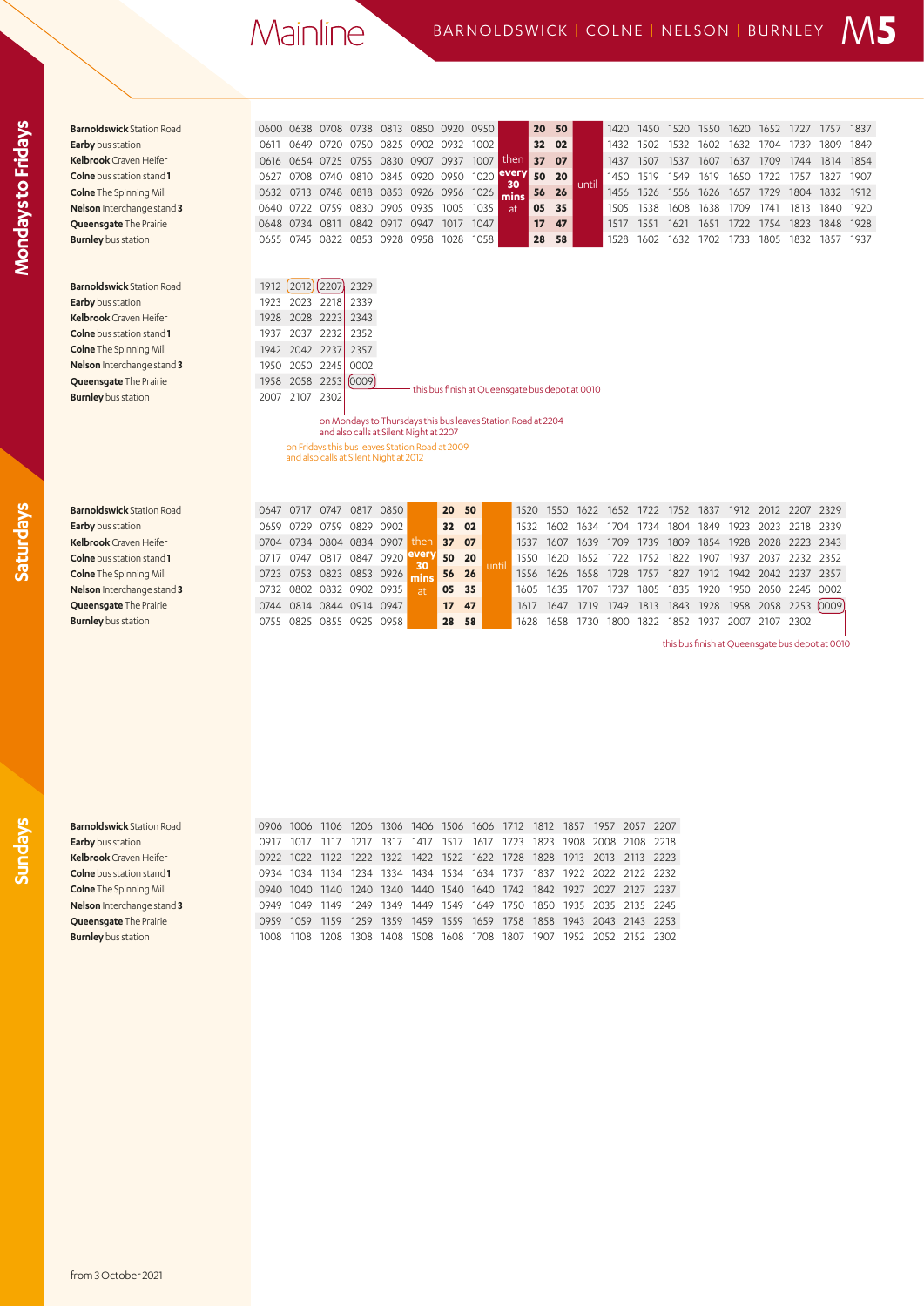| <b>Barnoldswick Station Road</b> |      |           | 0600 0638 0708 |      |                | 0738 0813 0850 0920 0950           |      |      |             |                 | 20 50         |       | 1420 | 1450      | 1520 | 1550 | 1620 | 1652 | 1727      | 757       | 1837 |
|----------------------------------|------|-----------|----------------|------|----------------|------------------------------------|------|------|-------------|-----------------|---------------|-------|------|-----------|------|------|------|------|-----------|-----------|------|
| <b>Earby</b> bus station         | 0611 |           | 0649 0720      |      |                | 0750 0825 0902 0932 1002           |      |      |             |                 | 32 02         |       | 1432 | 1502      | 1532 | 1602 | 1632 |      | 1704 1739 | 1809      | 1849 |
| <b>Kelbrook</b> Craven Heifer    |      |           |                |      |                | 0616 0654 0725 0755 0830 0907 0937 |      | 1007 | then        | 37 <sup>2</sup> | 07            |       | 1437 | 1507      | 1537 | 1607 | 1637 | 1709 | 1744      | 1814 1854 |      |
| <b>Colne</b> bus station stand 1 |      |           | 0627 0708 0740 |      |                | 0810 0845 0920 0950 1020           |      |      | every<br>30 |                 | 50 20         | until | 1450 | 1519      | 1549 | 1619 | 1650 | 1722 | 1757      | 1827      | 1907 |
| <b>Colne</b> The Spinning Mill   |      |           | 0632 0713 0748 | 0818 |                | 0853 0926 0956                     |      | 1026 | mins        |                 | 56 26         |       |      | 1456 1526 | 1556 | 1626 | 1657 | 1729 | 1804      | 1832 1912 |      |
| Nelson Interchange stand 3       |      | 0640 0722 | 0759           |      | 0830 0905 0935 |                                    | 1005 | 1035 | at.         | 05              | 35            |       | 1505 | 1538      | 1608 | 1638 | 1709 | 1741 | 1813      | 1840      | 1920 |
| <b>Queensgate The Prairie</b>    |      | 0648 0734 | 0811           | 0842 | 0917           | 0947                               | 1017 | 1047 |             |                 | $17 \quad 47$ |       | 1517 | 1551      | 1621 | 1651 | 1722 | 1754 | 1823      | 1848      | 1928 |
| <b>Burnley</b> bus station       |      | 0655 0745 |                |      |                | 0822 0853 0928 0958                | 1028 | 1058 |             | 28              | 58            |       | 1528 | 1602      | 1632 | 1702 | 1733 | 1805 | 1832      | 1857      | 1937 |
|                                  |      |           |                |      |                |                                    |      |      |             |                 |               |       |      |           |      |      |      |      |           |           |      |
|                                  |      |           |                |      |                |                                    |      |      |             |                 |               |       |      |           |      |      |      |      |           |           |      |

**Barnoldswick** Station Road 1912 2012 2207 2329 **Burnley** bus station 2007 2107 2302

**Earby** bus station 1923 2023 2218 2339 **Kelbrook** Craven Heifer 1928 2028 2223 2343 **Colne** bus station stand **1 1937 2037** 2232 2352 **Colne** The Spinning Mill 1942 2042 2237 2357 **Nelson** Interchange stand **3** 1950 2050 2245 0002 **Queensgate** The Prairie 1958 2058 2253 0009

this bus finish at Queensgate bus depot at 0010

on Mondays to Thursdays this bus leaves Station Road at 2204 and also calls at Silent Night at 2207

on Fridays this bus leaves Station Road at 2009 and also calls at Silent Night at 2012

| <b>Barnoldswick Station Road</b>        | 0647 0717 |                | 0747                     |      | 0817 0850 |      | 20 50           |       |         |           | 1520 1550 1622 1652 |      |      | 1722 | 1752 | 1837 |      |           | 1912 2012 2207 2329 |  |
|-----------------------------------------|-----------|----------------|--------------------------|------|-----------|------|-----------------|-------|---------|-----------|---------------------|------|------|------|------|------|------|-----------|---------------------|--|
| <b>Earby</b> bus station                |           | 0659 0729      | 0759                     |      | 0829 0902 |      | 32 02           |       |         | 1532      | 1602                | 1634 | 1704 | 1734 | 1804 | 1849 | 1923 |           | 2023 2218 2339      |  |
| Kelbrook Craven Heifer                  |           |                | 0704 0734 0804 0834 0907 |      |           | then | 37              | 07    |         | 1537      | 1607                | 1639 | 1709 | 1739 | 1809 | 1854 |      |           | 1928 2028 2223 2343 |  |
| <b>Colne</b> bus station stand <b>1</b> | 0717 0747 |                | 0817                     |      | 0847 0920 |      |                 | 50 20 | l until |           | 1550 1620 1652 1722 |      |      | 1752 | 1822 | 1907 | 1937 |           | 2037 2232 2352      |  |
| <b>Colne</b> The Spinning Mill          |           |                | 0723 0753 0823 0853 0926 |      |           |      |                 | 56 26 |         |           | 1556 1626 1658 1728 |      |      | 1757 | 1827 | 1912 |      |           | 1942 2042 2237 2357 |  |
| Nelson Interchange stand 3              |           |                | 0732 0802 0832 0902 0935 |      |           |      | 05              | 35    |         | 1605      | 1635                | 1707 | 1737 | 1805 | 1835 | 1920 |      | 1950 2050 | 2245 0002           |  |
| Queensqate The Prairie                  |           |                | 0744 0814 0844 0914 0947 |      |           |      | 17 <sup>2</sup> | 47    |         | 1617 1647 |                     | 1719 | 1749 | 1813 | 1843 | 1928 | 1958 |           | 2058 2253 0009      |  |
| <b>Burnley</b> bus station              |           | 0755 0825 0855 |                          | 0925 | 0958      |      | 28 58           |       |         | 1628      | 1658                | 1730 | 1800 | 1822 | 1852 | 1937 | 2007 |           | 2107 2302           |  |
|                                         |           |                |                          |      |           |      |                 |       |         |           |                     |      |      |      |      |      |      |           |                     |  |

this bus finish at Queensgate bus depot at 0010

**Saturdays**

|  |  |  |  | 0906 1006 1106 1206 1306 1406 1506 1606 1712 1812 1857 1957 2057 2207 |  |  |  |
|--|--|--|--|-----------------------------------------------------------------------|--|--|--|
|  |  |  |  | 0917 1017 1117 1217 1317 1417 1517 1617 1723 1823 1908 2008 2108 2218 |  |  |  |
|  |  |  |  | 0922 1022 1122 1222 1322 1422 1522 1622 1728 1828 1913 2013 2113 2223 |  |  |  |
|  |  |  |  | 0934 1034 1134 1234 1334 1434 1534 1634 1737 1837 1922 2022 2122 2232 |  |  |  |
|  |  |  |  | 0940 1040 1140 1240 1340 1440 1540 1640 1742 1842 1927 2027 2127 2237 |  |  |  |
|  |  |  |  | 0949 1049 1149 1249 1349 1449 1549 1649 1750 1850 1935 2035 2135 2245 |  |  |  |
|  |  |  |  | 0959 1059 1159 1259 1359 1459 1559 1659 1758 1858 1943 2043 2143 2253 |  |  |  |
|  |  |  |  | 1008 1108 1208 1308 1408 1508 1608 1708 1807 1907 1952 2052 2152 2302 |  |  |  |